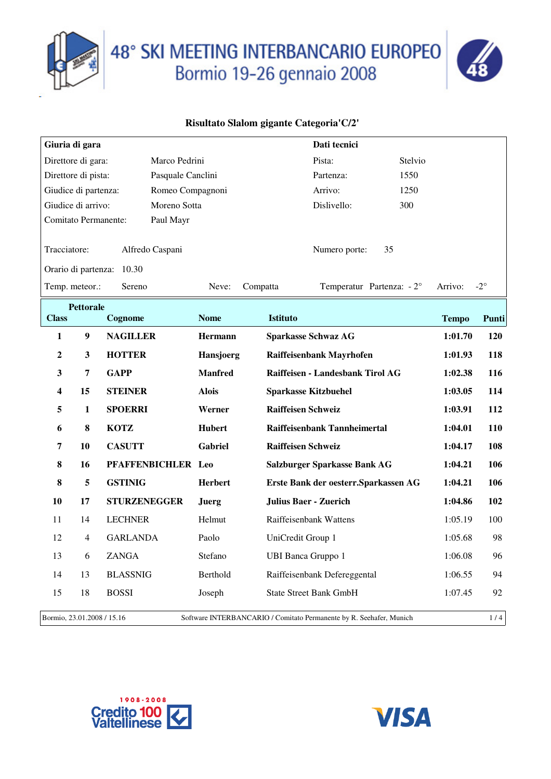

# 48° SKI MEETING INTERBANCARIO EUROPEO<br>Bormio 19-26 gennaio 2008



|                                          | Giuria di gara              |                           |                |                                                                     | Dati tecnici                          |                                   |              |              |
|------------------------------------------|-----------------------------|---------------------------|----------------|---------------------------------------------------------------------|---------------------------------------|-----------------------------------|--------------|--------------|
|                                          | Direttore di gara:          | Marco Pedrini             |                |                                                                     | Pista:                                | Stelvio                           |              |              |
| Direttore di pista:<br>Pasquale Canclini |                             |                           |                |                                                                     | Partenza:                             | 1550                              |              |              |
| Giudice di partenza:<br>Romeo Compagnoni |                             |                           |                |                                                                     | Arrivo:                               | 1250                              |              |              |
| Giudice di arrivo:<br>Moreno Sotta       |                             |                           |                |                                                                     | Dislivello:                           | 300                               |              |              |
|                                          | <b>Comitato Permanente:</b> | Paul Mayr                 |                |                                                                     |                                       |                                   |              |              |
| Tracciatore:                             |                             | Alfredo Caspani           |                |                                                                     | Numero porte:                         | 35                                |              |              |
|                                          |                             | Orario di partenza: 10.30 |                |                                                                     |                                       |                                   |              |              |
|                                          | Temp. meteor.:              | Sereno                    | Neve:          | Compatta                                                            |                                       | Temperatur Partenza: $-2^{\circ}$ | Arrivo:      | $-2^{\circ}$ |
|                                          | <b>Pettorale</b>            |                           |                |                                                                     |                                       |                                   |              |              |
| <b>Class</b>                             |                             | Cognome                   | <b>Nome</b>    | <b>Istituto</b>                                                     |                                       |                                   | <b>Tempo</b> | Punti        |
| 1                                        | $\boldsymbol{9}$            | <b>NAGILLER</b>           | Hermann        |                                                                     | <b>Sparkasse Schwaz AG</b>            |                                   | 1:01.70      | <b>120</b>   |
| 2                                        | 3                           | <b>HOTTER</b>             | Hansjoerg      |                                                                     | Raiffeisenbank Mayrhofen              |                                   | 1:01.93      | 118          |
| 3                                        | 7                           | <b>GAPP</b>               | <b>Manfred</b> |                                                                     | Raiffeisen - Landesbank Tirol AG      |                                   | 1:02.38      | 116          |
| 4                                        | 15                          | <b>STEINER</b>            | <b>Alois</b>   |                                                                     | <b>Sparkasse Kitzbuehel</b>           |                                   | 1:03.05      | 114          |
| 5                                        | $\mathbf{1}$                | <b>SPOERRI</b>            | Werner         | <b>Raiffeisen Schweiz</b>                                           |                                       |                                   | 1:03.91      | 112          |
| 6                                        | 8                           | <b>KOTZ</b>               | Hubert         |                                                                     | Raiffeisenbank Tannheimertal          |                                   | 1:04.01      | 110          |
| 7                                        | 10                          | <b>CASUTT</b>             | Gabriel        | <b>Raiffeisen Schweiz</b>                                           |                                       |                                   | 1:04.17      | 108          |
| 8                                        | 16                          | PFAFFENBICHLER Leo        |                |                                                                     | Salzburger Sparkasse Bank AG          |                                   | 1:04.21      | 106          |
| 8                                        | 5                           | <b>GSTINIG</b>            | <b>Herbert</b> |                                                                     | Erste Bank der oesterr. Sparkassen AG |                                   | 1:04.21      | 106          |
| 10                                       | 17                          | <b>STURZENEGGER</b>       | <b>Juerg</b>   |                                                                     | <b>Julius Baer - Zuerich</b>          |                                   | 1:04.86      | 102          |
| 11                                       | 14                          | <b>LECHNER</b>            | Helmut         |                                                                     | Raiffeisenbank Wattens                |                                   | 1:05.19      | 100          |
| 12                                       | $\overline{4}$              | <b>GARLANDA</b>           | Paolo          | UniCredit Group 1                                                   |                                       |                                   | 1:05.68      | 98           |
| 13                                       | 6                           | ZANGA                     | Stefano        | <b>UBI Banca Gruppo 1</b>                                           |                                       |                                   | 1:06.08      | 96           |
| 14                                       | 13                          | <b>BLASSNIG</b>           | Berthold       |                                                                     | Raiffeisenbank Defereggental          |                                   | 1:06.55      | 94           |
| 15                                       | 18                          | <b>BOSSI</b>              | Joseph         |                                                                     | <b>State Street Bank GmbH</b>         |                                   | 1:07.45      | 92           |
|                                          | Bormio, 23.01.2008 / 15.16  |                           |                | Software INTERBANCARIO / Comitato Permanente by R. Seehafer, Munich |                                       |                                   |              | 1/4          |



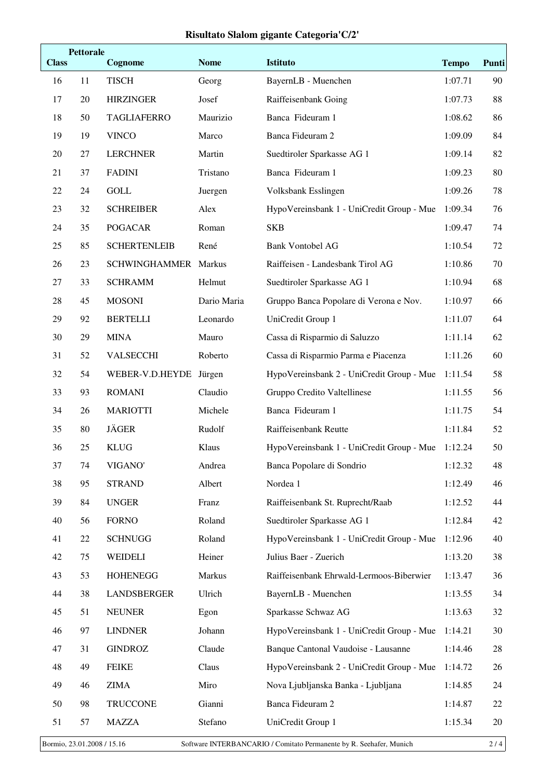| <b>Class</b> | <b>Pettorale</b> | Cognome              | <b>Nome</b> | <b>Istituto</b>                           | <b>Tempo</b> | Punti |
|--------------|------------------|----------------------|-------------|-------------------------------------------|--------------|-------|
| 16           | 11               | <b>TISCH</b>         | Georg       | BayernLB - Muenchen                       | 1:07.71      | 90    |
| 17           | 20               | <b>HIRZINGER</b>     | Josef       | Raiffeisenbank Going                      | 1:07.73      | 88    |
| 18           | 50               | <b>TAGLIAFERRO</b>   | Maurizio    | Banca Fideuram 1                          | 1:08.62      | 86    |
| 19           | 19               | <b>VINCO</b>         | Marco       | Banca Fideuram 2                          | 1:09.09      | 84    |
| 20           | 27               | <b>LERCHNER</b>      | Martin      | Suedtiroler Sparkasse AG 1                | 1:09.14      | 82    |
| 21           | 37               | <b>FADINI</b>        | Tristano    | Banca Fideuram 1                          | 1:09.23      | 80    |
| 22           | 24               | <b>GOLL</b>          | Juergen     | Volksbank Esslingen                       | 1:09.26      | 78    |
| 23           | 32               | <b>SCHREIBER</b>     | Alex        | HypoVereinsbank 1 - UniCredit Group - Mue | 1:09.34      | 76    |
| 24           | 35               | <b>POGACAR</b>       | Roman       | <b>SKB</b>                                | 1:09.47      | 74    |
| 25           | 85               | <b>SCHERTENLEIB</b>  | René        | <b>Bank Vontobel AG</b>                   | 1:10.54      | 72    |
| 26           | 23               | SCHWINGHAMMER Markus |             | Raiffeisen - Landesbank Tirol AG          | 1:10.86      | 70    |
| 27           | 33               | <b>SCHRAMM</b>       | Helmut      | Suedtiroler Sparkasse AG 1                | 1:10.94      | 68    |
| 28           | 45               | <b>MOSONI</b>        | Dario Maria | Gruppo Banca Popolare di Verona e Nov.    | 1:10.97      | 66    |
| 29           | 92               | <b>BERTELLI</b>      | Leonardo    | UniCredit Group 1                         | 1:11.07      | 64    |
| 30           | 29               | <b>MINA</b>          | Mauro       | Cassa di Risparmio di Saluzzo             | 1:11.14      | 62    |
| 31           | 52               | <b>VALSECCHI</b>     | Roberto     | Cassa di Risparmio Parma e Piacenza       | 1:11.26      | 60    |
| 32           | 54               | WEBER-V.D.HEYDE      | Jürgen      | HypoVereinsbank 2 - UniCredit Group - Mue | 1:11.54      | 58    |
| 33           | 93               | <b>ROMANI</b>        | Claudio     | Gruppo Credito Valtellinese               | 1:11.55      | 56    |
| 34           | 26               | <b>MARIOTTI</b>      | Michele     | Banca Fideuram 1                          | 1:11.75      | 54    |
| 35           | 80               | <b>JÄGER</b>         | Rudolf      | Raiffeisenbank Reutte                     | 1:11.84      | 52    |
| 36           | 25               | <b>KLUG</b>          | Klaus       | HypoVereinsbank 1 - UniCredit Group - Mue | 1:12.24      | 50    |
| 37           | 74               | VIGANO'              | Andrea      | Banca Popolare di Sondrio                 | 1:12.32      | 48    |
| 38           | 95               | <b>STRAND</b>        | Albert      | Nordea 1                                  | 1:12.49      | 46    |
| 39           | 84               | <b>UNGER</b>         | Franz       | Raiffeisenbank St. Ruprecht/Raab          | 1:12.52      | 44    |
| 40           | 56               | <b>FORNO</b>         | Roland      | Suedtiroler Sparkasse AG 1                | 1:12.84      | 42    |
| 41           | 22               | <b>SCHNUGG</b>       | Roland      | HypoVereinsbank 1 - UniCredit Group - Mue | 1:12.96      | 40    |
| 42           | 75               | WEIDELI              | Heiner      | Julius Baer - Zuerich                     | 1:13.20      | 38    |
| 43           | 53               | <b>HOHENEGG</b>      | Markus      | Raiffeisenbank Ehrwald-Lermoos-Biberwier  | 1:13.47      | 36    |
| 44           | 38               | LANDSBERGER          | Ulrich      | BayernLB - Muenchen                       | 1:13.55      | 34    |
| 45           | 51               | <b>NEUNER</b>        | Egon        | Sparkasse Schwaz AG                       | 1:13.63      | 32    |
| 46           | 97               | <b>LINDNER</b>       | Johann      | HypoVereinsbank 1 - UniCredit Group - Mue | 1:14.21      | 30    |
| 47           | 31               | <b>GINDROZ</b>       | Claude      | Banque Cantonal Vaudoise - Lausanne       | 1:14.46      | 28    |
| 48           | 49               | <b>FEIKE</b>         | Claus       | HypoVereinsbank 2 - UniCredit Group - Mue | 1:14.72      | 26    |
| 49           | 46               | <b>ZIMA</b>          | Miro        | Nova Ljubljanska Banka - Ljubljana        | 1:14.85      | 24    |
| 50           | 98               | <b>TRUCCONE</b>      | Gianni      | Banca Fideuram 2                          | 1:14.87      | 22    |
| 51           | 57               | <b>MAZZA</b>         | Stefano     | UniCredit Group 1                         | 1:15.34      | 20    |
|              |                  |                      |             |                                           |              |       |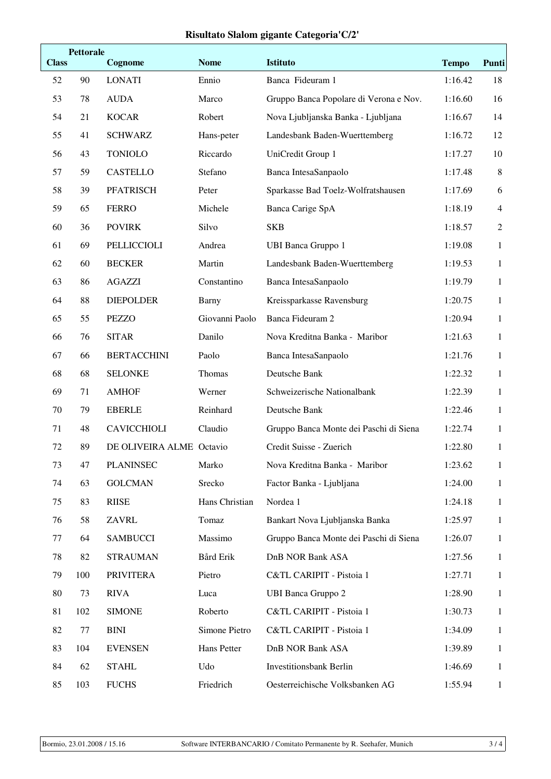|              | <b>Pettorale</b> |                          |                |                                        |              |                |  |
|--------------|------------------|--------------------------|----------------|----------------------------------------|--------------|----------------|--|
| <b>Class</b> |                  | Cognome                  | <b>Nome</b>    | Istituto                               | <b>Tempo</b> | Punti          |  |
| 52           | 90               | <b>LONATI</b>            | Ennio          | Banca Fideuram 1                       | 1:16.42      | 18             |  |
| 53           | 78               | <b>AUDA</b>              | Marco          | Gruppo Banca Popolare di Verona e Nov. | 1:16.60      | 16             |  |
| 54           | 21               | <b>KOCAR</b>             | Robert         | Nova Ljubljanska Banka - Ljubljana     | 1:16.67      | 14             |  |
| 55           | 41               | <b>SCHWARZ</b>           | Hans-peter     | Landesbank Baden-Wuerttemberg          | 1:16.72      | 12             |  |
| 56           | 43               | <b>TONIOLO</b>           | Riccardo       | UniCredit Group 1                      | 1:17.27      | 10             |  |
| 57           | 59               | <b>CASTELLO</b>          | Stefano        | Banca IntesaSanpaolo                   | 1:17.48      | 8              |  |
| 58           | 39               | <b>PFATRISCH</b>         | Peter          | Sparkasse Bad Toelz-Wolfratshausen     | 1:17.69      | 6              |  |
| 59           | 65               | <b>FERRO</b>             | Michele        | Banca Carige SpA                       | 1:18.19      | $\overline{4}$ |  |
| 60           | 36               | <b>POVIRK</b>            | Silvo          | <b>SKB</b>                             | 1:18.57      | $\overline{2}$ |  |
| 61           | 69               | PELLICCIOLI              | Andrea         | <b>UBI Banca Gruppo 1</b>              | 1:19.08      | $\mathbf{1}$   |  |
| 62           | 60               | <b>BECKER</b>            | Martin         | Landesbank Baden-Wuerttemberg          | 1:19.53      | $\mathbf{1}$   |  |
| 63           | 86               | <b>AGAZZI</b>            | Constantino    | Banca IntesaSanpaolo                   | 1:19.79      | $\mathbf{1}$   |  |
| 64           | 88               | <b>DIEPOLDER</b>         | Barny          | Kreissparkasse Ravensburg              | 1:20.75      | $\mathbf{1}$   |  |
| 65           | 55               | <b>PEZZO</b>             | Giovanni Paolo | Banca Fideuram 2                       | 1:20.94      | $\mathbf{1}$   |  |
| 66           | 76               | <b>SITAR</b>             | Danilo         | Nova Kreditna Banka - Maribor          | 1:21.63      | $\mathbf{1}$   |  |
| 67           | 66               | <b>BERTACCHINI</b>       | Paolo          | Banca IntesaSanpaolo                   | 1:21.76      | $\mathbf{1}$   |  |
| 68           | 68               | <b>SELONKE</b>           | Thomas         | Deutsche Bank                          | 1:22.32      | $\mathbf{1}$   |  |
| 69           | 71               | <b>AMHOF</b>             | Werner         | Schweizerische Nationalbank            | 1:22.39      | $\mathbf{1}$   |  |
| 70           | 79               | <b>EBERLE</b>            | Reinhard       | Deutsche Bank                          | 1:22.46      | $\mathbf{1}$   |  |
| 71           | 48               | <b>CAVICCHIOLI</b>       | Claudio        | Gruppo Banca Monte dei Paschi di Siena | 1:22.74      | 1              |  |
| 72           | 89               | DE OLIVEIRA ALME Octavio |                | Credit Suisse - Zuerich                | 1:22.80      | $\mathbf{1}$   |  |
| 73           | 47               | <b>PLANINSEC</b>         | Marko          | Nova Kreditna Banka - Maribor          | 1:23.62      | $\mathbf{1}$   |  |
| 74           | 63               | <b>GOLCMAN</b>           | Srecko         | Factor Banka - Ljubljana               | 1:24.00      | 1              |  |
| 75           | 83               | <b>RIISE</b>             | Hans Christian | Nordea 1                               | 1:24.18      | 1              |  |
| 76           | 58               | <b>ZAVRL</b>             | Tomaz          | Bankart Nova Ljubljanska Banka         | 1:25.97      | $\mathbf{1}$   |  |
| 77           | 64               | <b>SAMBUCCI</b>          | Massimo        | Gruppo Banca Monte dei Paschi di Siena | 1:26.07      | 1              |  |
| 78           | 82               | <b>STRAUMAN</b>          | Bård Erik      | <b>DnB NOR Bank ASA</b>                | 1:27.56      | 1              |  |
| 79           | 100              | <b>PRIVITERA</b>         | Pietro         | C&TL CARIPIT - Pistoia 1               | 1:27.71      | $\mathbf{1}$   |  |
| 80           | 73               | <b>RIVA</b>              | Luca           | <b>UBI Banca Gruppo 2</b>              | 1:28.90      | 1              |  |
| 81           | 102              | <b>SIMONE</b>            | Roberto        | C&TL CARIPIT - Pistoia 1               | 1:30.73      | 1              |  |
| 82           | 77               | <b>BINI</b>              | Simone Pietro  | C&TL CARIPIT - Pistoia 1               | 1:34.09      | $\mathbf{1}$   |  |
| 83           | 104              | <b>EVENSEN</b>           | Hans Petter    | <b>DnB NOR Bank ASA</b>                | 1:39.89      | 1              |  |
| 84           | 62               | <b>STAHL</b>             | Udo            | <b>Investitionsbank Berlin</b>         | 1:46.69      | 1              |  |
| 85           | 103              | <b>FUCHS</b>             | Friedrich      | Oesterreichische Volksbanken AG        | 1:55.94      | 1              |  |